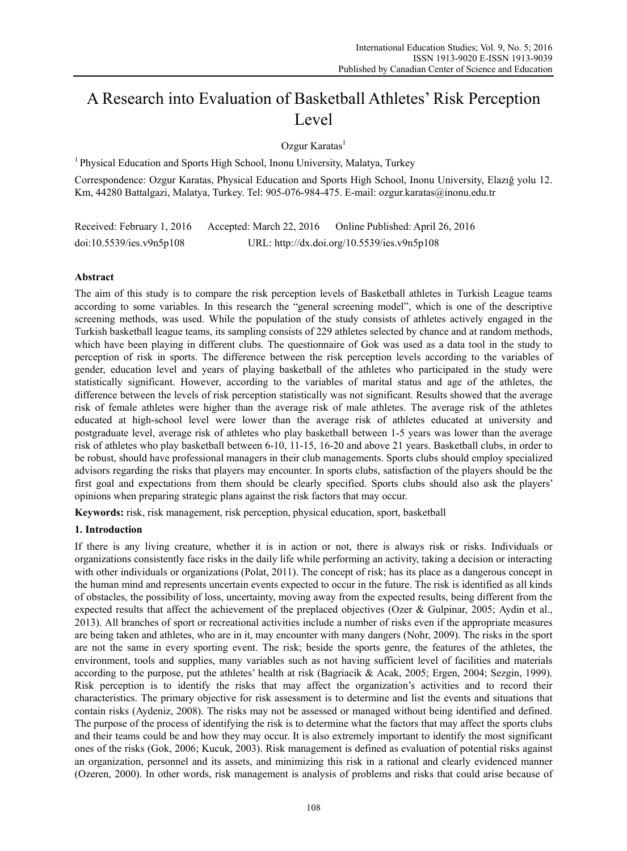# A Research into Evaluation of Basketball Athletes' Risk Perception Level

Ozgur Karatas<sup>1</sup>

<sup>1</sup> Physical Education and Sports High School, Inonu University, Malatya, Turkey

Correspondence: Ozgur Karatas, Physical Education and Sports High School, Inonu University, Elazığ yolu 12. Km, 44280 Battalgazi, Malatya, Turkey. Tel: 905-076-984-475. E-mail: ozgur.karatas@inonu.edu.tr

Received: February 1, 2016 Accepted: March 22, 2016 Online Published: April 26, 2016 doi:10.5539/ies.v9n5p108 URL: http://dx.doi.org/10.5539/ies.v9n5p108

### **Abstract**

The aim of this study is to compare the risk perception levels of Basketball athletes in Turkish League teams according to some variables. In this research the "general screening model", which is one of the descriptive screening methods, was used. While the population of the study consists of athletes actively engaged in the Turkish basketball league teams, its sampling consists of 229 athletes selected by chance and at random methods, which have been playing in different clubs. The questionnaire of Gok was used as a data tool in the study to perception of risk in sports. The difference between the risk perception levels according to the variables of gender, education level and years of playing basketball of the athletes who participated in the study were statistically significant. However, according to the variables of marital status and age of the athletes, the difference between the levels of risk perception statistically was not significant. Results showed that the average risk of female athletes were higher than the average risk of male athletes. The average risk of the athletes educated at high-school level were lower than the average risk of athletes educated at university and postgraduate level, average risk of athletes who play basketball between 1-5 years was lower than the average risk of athletes who play basketball between 6-10, 11-15, 16-20 and above 21 years. Basketball clubs, in order to be robust, should have professional managers in their club managements. Sports clubs should employ specialized advisors regarding the risks that players may encounter. In sports clubs, satisfaction of the players should be the first goal and expectations from them should be clearly specified. Sports clubs should also ask the players' opinions when preparing strategic plans against the risk factors that may occur.

**Keywords:** risk, risk management, risk perception, physical education, sport, basketball

#### **1. Introduction**

If there is any living creature, whether it is in action or not, there is always risk or risks. Individuals or organizations consistently face risks in the daily life while performing an activity, taking a decision or interacting with other individuals or organizations (Polat, 2011). The concept of risk; has its place as a dangerous concept in the human mind and represents uncertain events expected to occur in the future. The risk is identified as all kinds of obstacles, the possibility of loss, uncertainty, moving away from the expected results, being different from the expected results that affect the achievement of the preplaced objectives (Ozer & Gulpinar, 2005; Aydin et al., 2013). All branches of sport or recreational activities include a number of risks even if the appropriate measures are being taken and athletes, who are in it, may encounter with many dangers (Nohr, 2009). The risks in the sport are not the same in every sporting event. The risk; beside the sports genre, the features of the athletes, the environment, tools and supplies, many variables such as not having sufficient level of facilities and materials according to the purpose, put the athletes' health at risk (Bagriacik & Acak, 2005; Ergen, 2004; Sezgin, 1999). Risk perception is to identify the risks that may affect the organization's activities and to record their characteristics. The primary objective for risk assessment is to determine and list the events and situations that contain risks (Aydeniz, 2008). The risks may not be assessed or managed without being identified and defined. The purpose of the process of identifying the risk is to determine what the factors that may affect the sports clubs and their teams could be and how they may occur. It is also extremely important to identify the most significant ones of the risks (Gok, 2006; Kucuk, 2003). Risk management is defined as evaluation of potential risks against an organization, personnel and its assets, and minimizing this risk in a rational and clearly evidenced manner (Ozeren, 2000). In other words, risk management is analysis of problems and risks that could arise because of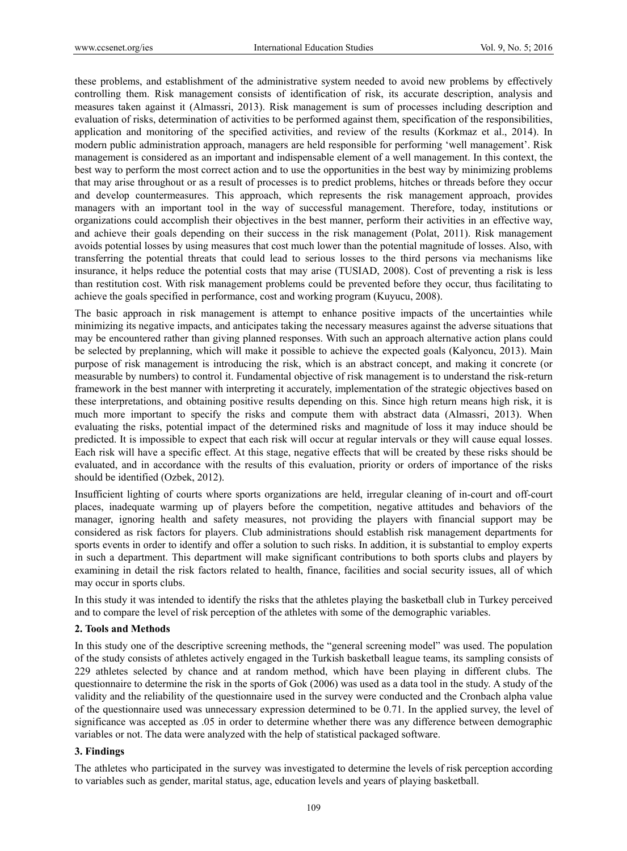these problems, and establishment of the administrative system needed to avoid new problems by effectively controlling them. Risk management consists of identification of risk, its accurate description, analysis and measures taken against it (Almassri, 2013). Risk management is sum of processes including description and evaluation of risks, determination of activities to be performed against them, specification of the responsibilities, application and monitoring of the specified activities, and review of the results (Korkmaz et al., 2014). In modern public administration approach, managers are held responsible for performing 'well management'. Risk management is considered as an important and indispensable element of a well management. In this context, the best way to perform the most correct action and to use the opportunities in the best way by minimizing problems that may arise throughout or as a result of processes is to predict problems, hitches or threads before they occur and develop countermeasures. This approach, which represents the risk management approach, provides managers with an important tool in the way of successful management. Therefore, today, institutions or organizations could accomplish their objectives in the best manner, perform their activities in an effective way, and achieve their goals depending on their success in the risk management (Polat, 2011). Risk management avoids potential losses by using measures that cost much lower than the potential magnitude of losses. Also, with transferring the potential threats that could lead to serious losses to the third persons via mechanisms like insurance, it helps reduce the potential costs that may arise (TUSIAD, 2008). Cost of preventing a risk is less than restitution cost. With risk management problems could be prevented before they occur, thus facilitating to achieve the goals specified in performance, cost and working program (Kuyucu, 2008).

The basic approach in risk management is attempt to enhance positive impacts of the uncertainties while minimizing its negative impacts, and anticipates taking the necessary measures against the adverse situations that may be encountered rather than giving planned responses. With such an approach alternative action plans could be selected by preplanning, which will make it possible to achieve the expected goals (Kalyoncu, 2013). Main purpose of risk management is introducing the risk, which is an abstract concept, and making it concrete (or measurable by numbers) to control it. Fundamental objective of risk management is to understand the risk-return framework in the best manner with interpreting it accurately, implementation of the strategic objectives based on these interpretations, and obtaining positive results depending on this. Since high return means high risk, it is much more important to specify the risks and compute them with abstract data (Almassri, 2013). When evaluating the risks, potential impact of the determined risks and magnitude of loss it may induce should be predicted. It is impossible to expect that each risk will occur at regular intervals or they will cause equal losses. Each risk will have a specific effect. At this stage, negative effects that will be created by these risks should be evaluated, and in accordance with the results of this evaluation, priority or orders of importance of the risks should be identified (Ozbek, 2012).

Insufficient lighting of courts where sports organizations are held, irregular cleaning of in-court and off-court places, inadequate warming up of players before the competition, negative attitudes and behaviors of the manager, ignoring health and safety measures, not providing the players with financial support may be considered as risk factors for players. Club administrations should establish risk management departments for sports events in order to identify and offer a solution to such risks. In addition, it is substantial to employ experts in such a department. This department will make significant contributions to both sports clubs and players by examining in detail the risk factors related to health, finance, facilities and social security issues, all of which may occur in sports clubs.

In this study it was intended to identify the risks that the athletes playing the basketball club in Turkey perceived and to compare the level of risk perception of the athletes with some of the demographic variables.

#### **2. Tools and Methods**

In this study one of the descriptive screening methods, the "general screening model" was used. The population of the study consists of athletes actively engaged in the Turkish basketball league teams, its sampling consists of 229 athletes selected by chance and at random method, which have been playing in different clubs. The questionnaire to determine the risk in the sports of Gok (2006) was used as a data tool in the study. A study of the validity and the reliability of the questionnaire used in the survey were conducted and the Cronbach alpha value of the questionnaire used was unnecessary expression determined to be 0.71. In the applied survey, the level of significance was accepted as .05 in order to determine whether there was any difference between demographic variables or not. The data were analyzed with the help of statistical packaged software.

#### **3. Findings**

The athletes who participated in the survey was investigated to determine the levels of risk perception according to variables such as gender, marital status, age, education levels and years of playing basketball.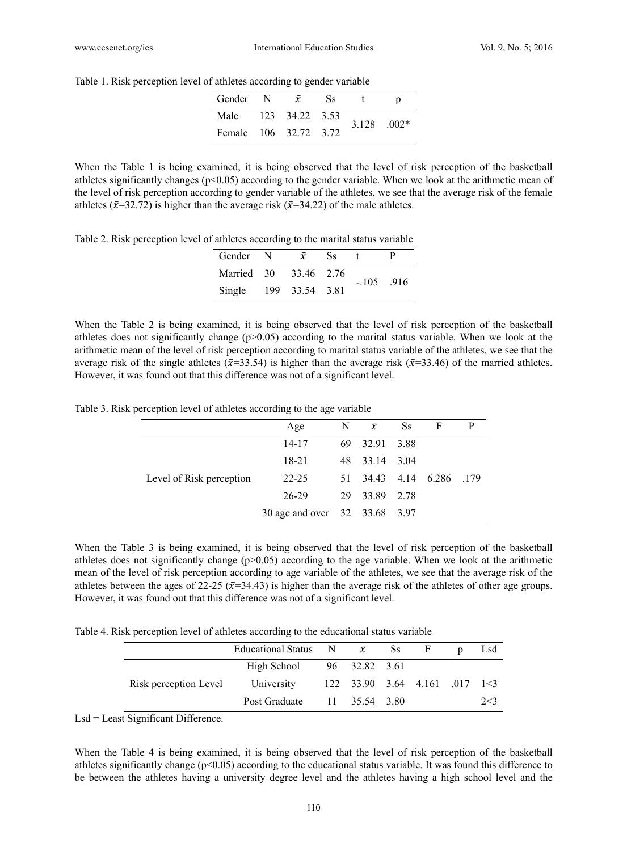| Table 1. Risk perception level of athletes according to gender variable |
|-------------------------------------------------------------------------|
|-------------------------------------------------------------------------|

| Gender N              | $\bar{x}$ | Ss |  |               |  |
|-----------------------|-----------|----|--|---------------|--|
| Male 123 34.22 3.53   |           |    |  | $3.128$ .002* |  |
| Female 106 32.72 3.72 |           |    |  |               |  |

When the Table 1 is being examined, it is being observed that the level of risk perception of the basketball athletes significantly changes (p<0.05) according to the gender variable. When we look at the arithmetic mean of the level of risk perception according to gender variable of the athletes, we see that the average risk of the female athletes ( $\bar{x}$ =32.72) is higher than the average risk ( $\bar{x}$ =34.22) of the male athletes.

Table 2. Risk perception level of athletes according to the marital status variable

| Gender N   | $\bar{x}$      | Ss. |              |  |  |
|------------|----------------|-----|--------------|--|--|
| Married 30 | 33.46 2.76     |     | $-.105$ .916 |  |  |
| Single     | 199 33.54 3.81 |     |              |  |  |

When the Table 2 is being examined, it is being observed that the level of risk perception of the basketball athletes does not significantly change ( $p > 0.05$ ) according to the marital status variable. When we look at the arithmetic mean of the level of risk perception according to marital status variable of the athletes, we see that the average risk of the single athletes ( $\bar{x}$ =33.54) is higher than the average risk ( $\bar{x}$ =33.46) of the married athletes. However, it was found out that this difference was not of a significant level.

Table 3. Risk perception level of athletes according to the age variable

|                          | Age                           | N  | $\bar{x}$           | <b>Ss</b> | F | P    |
|--------------------------|-------------------------------|----|---------------------|-----------|---|------|
|                          | 14-17                         | 69 | 32.91 3.88          |           |   |      |
| Level of Risk perception | $18 - 21$                     | 48 | 33.14 3.04          |           |   |      |
|                          | $22 - 25$                     |    | 51 34.43 4.14 6.286 |           |   | .179 |
|                          | 26-29                         |    | 29 33.89 2.78       |           |   |      |
|                          | 30 age and over 32 33.68 3.97 |    |                     |           |   |      |

When the Table 3 is being examined, it is being observed that the level of risk perception of the basketball athletes does not significantly change ( $p>0.05$ ) according to the age variable. When we look at the arithmetic mean of the level of risk perception according to age variable of the athletes, we see that the average risk of the athletes between the ages of 22-25 ( $\bar{x}$ =34.43) is higher than the average risk of the athletes of other age groups. However, it was found out that this difference was not of a significant level.

Table 4. Risk perception level of athletes according to the educational status variable

|                       | Educational Status $N = \bar{x}$ |                                 | Ss F | Lsd |
|-----------------------|----------------------------------|---------------------------------|------|-----|
|                       | High School 96 32.82 3.61        |                                 |      |     |
| Risk perception Level | University                       | $122$ 33.90 3.64 4.161 .017 1<3 |      |     |
|                       | Post Graduate 11 35.54 3.80      |                                 |      | 2<3 |

Lsd = Least Significant Difference.

When the Table 4 is being examined, it is being observed that the level of risk perception of the basketball athletes significantly change ( $p<0.05$ ) according to the educational status variable. It was found this difference to be between the athletes having a university degree level and the athletes having a high school level and the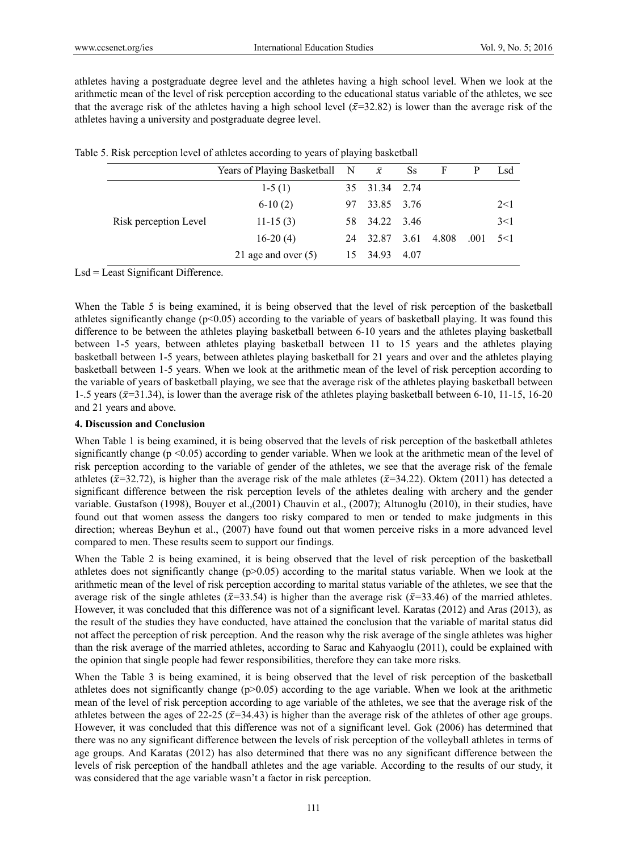athletes having a postgraduate degree level and the athletes having a high school level. When we look at the arithmetic mean of the level of risk perception according to the educational status variable of the athletes, we see that the average risk of the athletes having a high school level ( $\bar{x}$ =32.82) is lower than the average risk of the athletes having a university and postgraduate degree level.

|                       | Years of Playing Basketball $N = \bar{x}$ |     |               | <b>Ss</b> | F     | P             | Lsd |
|-----------------------|-------------------------------------------|-----|---------------|-----------|-------|---------------|-----|
|                       | $1-5(1)$                                  |     | 35 31.34 2.74 |           |       |               |     |
|                       | $6-10(2)$                                 | 97  | 33.85 3.76    |           |       |               | 2<1 |
| Risk perception Level | $11-15(3)$                                |     | 58 34.22 3.46 |           |       |               | 3<1 |
|                       | $16-20(4)$                                | 24  | 32.87         | 3.61      | 4.808 | $.001 \t 5<1$ |     |
|                       | 21 age and over $(5)$                     | 15. | 34.93         | -4.07     |       |               |     |
|                       |                                           |     |               |           |       |               |     |

| Table 5. Risk perception level of athletes according to years of playing basketball |  |  |
|-------------------------------------------------------------------------------------|--|--|
|                                                                                     |  |  |

Lsd = Least Significant Difference.

When the Table 5 is being examined, it is being observed that the level of risk perception of the basketball athletes significantly change ( $p<0.05$ ) according to the variable of years of basketball playing. It was found this difference to be between the athletes playing basketball between 6-10 years and the athletes playing basketball between 1-5 years, between athletes playing basketball between 11 to 15 years and the athletes playing basketball between 1-5 years, between athletes playing basketball for 21 years and over and the athletes playing basketball between 1-5 years. When we look at the arithmetic mean of the level of risk perception according to the variable of years of basketball playing, we see that the average risk of the athletes playing basketball between 1-.5 years ( $\bar{x}$ =31.34), is lower than the average risk of the athletes playing basketball between 6-10, 11-15, 16-20 and 21 years and above.

#### **4. Discussion and Conclusion**

When Table 1 is being examined, it is being observed that the levels of risk perception of the basketball athletes significantly change ( $p \le 0.05$ ) according to gender variable. When we look at the arithmetic mean of the level of risk perception according to the variable of gender of the athletes, we see that the average risk of the female athletes ( $\bar{x}$ =32.72), is higher than the average risk of the male athletes ( $\bar{x}$ =34.22). Oktem (2011) has detected a significant difference between the risk perception levels of the athletes dealing with archery and the gender variable. Gustafson (1998), Bouyer et al.,(2001) Chauvin et al., (2007); Altunoglu (2010), in their studies, have found out that women assess the dangers too risky compared to men or tended to make judgments in this direction; whereas Beyhun et al., (2007) have found out that women perceive risks in a more advanced level compared to men. These results seem to support our findings.

When the Table 2 is being examined, it is being observed that the level of risk perception of the basketball athletes does not significantly change  $(p>0.05)$  according to the marital status variable. When we look at the arithmetic mean of the level of risk perception according to marital status variable of the athletes, we see that the average risk of the single athletes ( $\bar{x}$ =33.54) is higher than the average risk ( $\bar{x}$ =33.46) of the married athletes. However, it was concluded that this difference was not of a significant level. Karatas (2012) and Aras (2013), as the result of the studies they have conducted, have attained the conclusion that the variable of marital status did not affect the perception of risk perception. And the reason why the risk average of the single athletes was higher than the risk average of the married athletes, according to Sarac and Kahyaoglu (2011), could be explained with the opinion that single people had fewer responsibilities, therefore they can take more risks.

When the Table 3 is being examined, it is being observed that the level of risk perception of the basketball athletes does not significantly change (p>0.05) according to the age variable. When we look at the arithmetic mean of the level of risk perception according to age variable of the athletes, we see that the average risk of the athletes between the ages of 22-25 ( $\bar{x}$ =34.43) is higher than the average risk of the athletes of other age groups. However, it was concluded that this difference was not of a significant level. Gok (2006) has determined that there was no any significant difference between the levels of risk perception of the volleyball athletes in terms of age groups. And Karatas (2012) has also determined that there was no any significant difference between the levels of risk perception of the handball athletes and the age variable. According to the results of our study, it was considered that the age variable wasn't a factor in risk perception.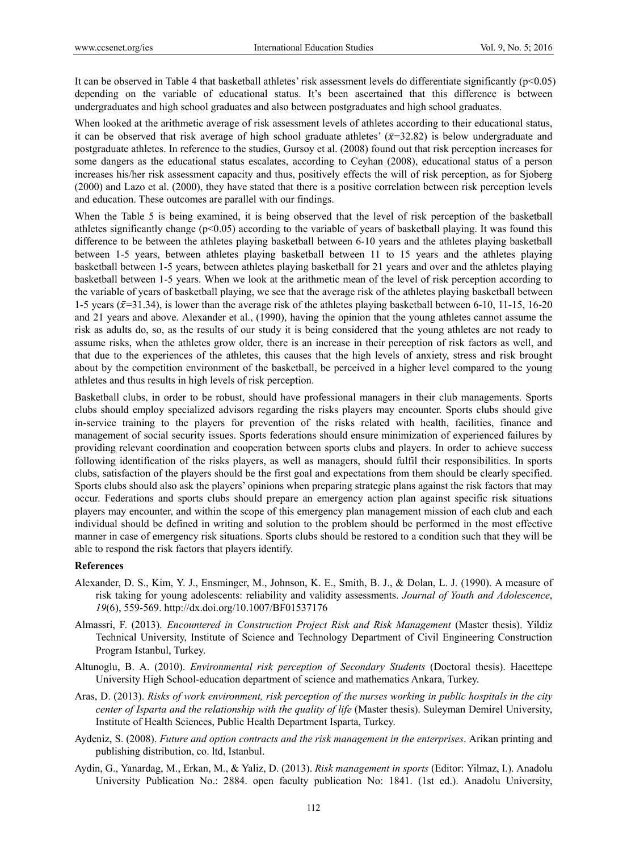It can be observed in Table 4 that basketball athletes' risk assessment levels do differentiate significantly  $(p<0.05)$ depending on the variable of educational status. It's been ascertained that this difference is between undergraduates and high school graduates and also between postgraduates and high school graduates.

When looked at the arithmetic average of risk assessment levels of athletes according to their educational status, it can be observed that risk average of high school graduate athletes'  $(\bar{x}=32.82)$  is below undergraduate and postgraduate athletes. In reference to the studies, Gursoy et al. (2008) found out that risk perception increases for some dangers as the educational status escalates, according to Ceyhan (2008), educational status of a person increases his/her risk assessment capacity and thus, positively effects the will of risk perception, as for Sjoberg (2000) and Lazo et al. (2000), they have stated that there is a positive correlation between risk perception levels and education. These outcomes are parallel with our findings.

When the Table 5 is being examined, it is being observed that the level of risk perception of the basketball athletes significantly change ( $p<0.05$ ) according to the variable of years of basketball playing. It was found this difference to be between the athletes playing basketball between 6-10 years and the athletes playing basketball between 1-5 years, between athletes playing basketball between 11 to 15 years and the athletes playing basketball between 1-5 years, between athletes playing basketball for 21 years and over and the athletes playing basketball between 1-5 years. When we look at the arithmetic mean of the level of risk perception according to the variable of years of basketball playing, we see that the average risk of the athletes playing basketball between 1-5 years ( $\bar{x}$ =31.34), is lower than the average risk of the athletes playing basketball between 6-10, 11-15, 16-20 and 21 years and above. Alexander et al., (1990), having the opinion that the young athletes cannot assume the risk as adults do, so, as the results of our study it is being considered that the young athletes are not ready to assume risks, when the athletes grow older, there is an increase in their perception of risk factors as well, and that due to the experiences of the athletes, this causes that the high levels of anxiety, stress and risk brought about by the competition environment of the basketball, be perceived in a higher level compared to the young athletes and thus results in high levels of risk perception.

Basketball clubs, in order to be robust, should have professional managers in their club managements. Sports clubs should employ specialized advisors regarding the risks players may encounter. Sports clubs should give in-service training to the players for prevention of the risks related with health, facilities, finance and management of social security issues. Sports federations should ensure minimization of experienced failures by providing relevant coordination and cooperation between sports clubs and players. In order to achieve success following identification of the risks players, as well as managers, should fulfil their responsibilities. In sports clubs, satisfaction of the players should be the first goal and expectations from them should be clearly specified. Sports clubs should also ask the players' opinions when preparing strategic plans against the risk factors that may occur. Federations and sports clubs should prepare an emergency action plan against specific risk situations players may encounter, and within the scope of this emergency plan management mission of each club and each individual should be defined in writing and solution to the problem should be performed in the most effective manner in case of emergency risk situations. Sports clubs should be restored to a condition such that they will be able to respond the risk factors that players identify.

#### **References**

- Alexander, D. S., Kim, Y. J., Ensminger, M., Johnson, K. E., Smith, B. J., & Dolan, L. J. (1990). A measure of risk taking for young adolescents: reliability and validity assessments. *Journal of Youth and Adolescence*, *19*(6), 559-569. http://dx.doi.org/10.1007/BF01537176
- Almassri, F. (2013). *Encountered in Construction Project Risk and Risk Management* (Master thesis). Yildiz Technical University, Institute of Science and Technology Department of Civil Engineering Construction Program Istanbul, Turkey.
- Altunoglu, B. A. (2010). *Environmental risk perception of Secondary Students* (Doctoral thesis). Hacettepe University High School-education department of science and mathematics Ankara, Turkey.
- Aras, D. (2013). *Risks of work environment, risk perception of the nurses working in public hospitals in the city center of Isparta and the relationship with the quality of life* (Master thesis). Suleyman Demirel University, Institute of Health Sciences, Public Health Department Isparta, Turkey.
- Aydeniz, S. (2008). *Future and option contracts and the risk management in the enterprises*. Arikan printing and publishing distribution, co. ltd, Istanbul.
- Aydin, G., Yanardag, M., Erkan, M., & Yaliz, D. (2013). *Risk management in sports* (Editor: Yilmaz, I.). Anadolu University Publication No.: 2884. open faculty publication No: 1841. (1st ed.). Anadolu University,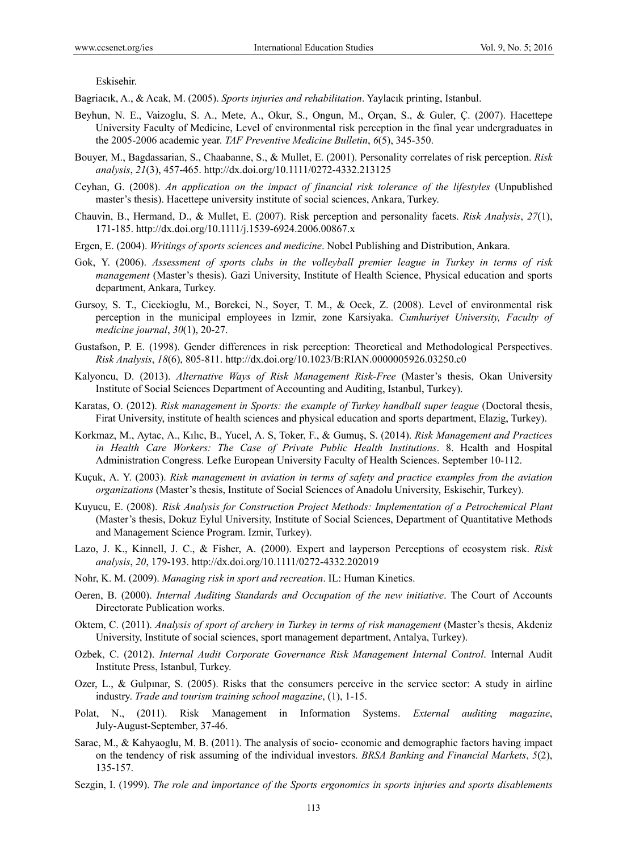Eskisehir.

Bagriacık, A., & Acak, M. (2005). *Sports injuries and rehabilitation*. Yaylacık printing, Istanbul.

- Beyhun, N. E., Vaizoglu, S. A., Mete, A., Okur, S., Ongun, M., Orçan, S., & Guler, Ç. (2007). Hacettepe University Faculty of Medicine, Level of environmental risk perception in the final year undergraduates in the 2005-2006 academic year. *TAF Preventive Medicine Bulletin*, *6*(5), 345-350.
- Bouyer, M., Bagdassarian, S., Chaabanne, S., & Mullet, E. (2001). Personality correlates of risk perception. *Risk analysis*, *21*(3), 457-465. http://dx.doi.org/10.1111/0272-4332.213125
- Ceyhan, G. (2008). *An application on the impact of financial risk tolerance of the lifestyles* (Unpublished master's thesis). Hacettepe university institute of social sciences, Ankara, Turkey.
- Chauvin, B., Hermand, D., & Mullet, E. (2007). Risk perception and personality facets. *Risk Analysis*, *27*(1), 171-185. http://dx.doi.org/10.1111/j.1539-6924.2006.00867.x
- Ergen, E. (2004). *Writings of sports sciences and medicine*. Nobel Publishing and Distribution, Ankara.
- Gok, Y. (2006). *Assessment of sports clubs in the volleyball premier league in Turkey in terms of risk management* (Master's thesis). Gazi University, Institute of Health Science, Physical education and sports department, Ankara, Turkey.
- Gursoy, S. T., Cicekioglu, M., Borekci, N., Soyer, T. M., & Ocek, Z. (2008). Level of environmental risk perception in the municipal employees in Izmir, zone Karsiyaka. *Cumhuriyet University, Faculty of medicine journal*, *30*(1), 20-27.
- Gustafson, P. E. (1998). Gender differences in risk perception: Theoretical and Methodological Perspectives. *Risk Analysis*, *18*(6), 805-811. http://dx.doi.org/10.1023/B:RIAN.0000005926.03250.c0
- Kalyoncu, D. (2013). *Alternative Ways of Risk Management Risk-Free* (Master's thesis, Okan University Institute of Social Sciences Department of Accounting and Auditing, Istanbul, Turkey).
- Karatas, O. (2012). *Risk management in Sports: the example of Turkey handball super league* (Doctoral thesis, Firat University, institute of health sciences and physical education and sports department, Elazig, Turkey).
- Korkmaz, M., Aytac, A., Kılıc, B., Yucel, A. S, Toker, F., & Gumuş, S. (2014). *Risk Management and Practices in Health Care Workers: The Case of Private Public Health Institutions*. 8. Health and Hospital Administration Congress. Lefke European University Faculty of Health Sciences. September 10-112.
- Kuçuk, A. Y. (2003). *Risk management in aviation in terms of safety and practice examples from the aviation organizations* (Master's thesis, Institute of Social Sciences of Anadolu University, Eskisehir, Turkey).
- Kuyucu, E. (2008). *Risk Analysis for Construction Project Methods: Implementation of a Petrochemical Plant*  (Master's thesis, Dokuz Eylul University, Institute of Social Sciences, Department of Quantitative Methods and Management Science Program. Izmir, Turkey).
- Lazo, J. K., Kinnell, J. C., & Fisher, A. (2000). Expert and layperson Perceptions of ecosystem risk. *Risk analysis*, *20*, 179-193. http://dx.doi.org/10.1111/0272-4332.202019
- Nohr, K. M. (2009). *Managing risk in sport and recreation*. IL: Human Kinetics.
- Oeren, B. (2000). *Internal Auditing Standards and Occupation of the new initiative*. The Court of Accounts Directorate Publication works.
- Oktem, C. (2011). *Analysis of sport of archery in Turkey in terms of risk management* (Master's thesis, Akdeniz University, Institute of social sciences, sport management department, Antalya, Turkey).
- Ozbek, C. (2012). *Internal Audit Corporate Governance Risk Management Internal Control*. Internal Audit Institute Press, Istanbul, Turkey.
- Ozer, L., & Gulpınar, S. (2005). Risks that the consumers perceive in the service sector: A study in airline industry. *Trade and tourism training school magazine*, (1), 1-15.
- Polat, N., (2011). Risk Management in Information Systems. *External auditing magazine*, July-August-September, 37-46.
- Sarac, M., & Kahyaoglu, M. B. (2011). The analysis of socio- economic and demographic factors having impact on the tendency of risk assuming of the individual investors. *BRSA Banking and Financial Markets*, *5*(2), 135-157.
- Sezgin, I. (1999). *The role and importance of the Sports ergonomics in sports injuries and sports disablements*